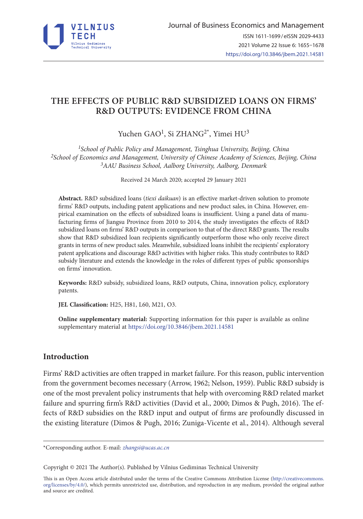

# **THE EFFECTS OF PUBLIC R&D SUBSIDIZED LOANS ON FIRMS' R&D OUTPUTS: EVIDENCE FROM CHINA**

# Yuchen GAO<sup>1</sup>, Si ZHANG<sup>2\*</sup>, Yimei HU<sup>3</sup>

*1School of Public Policy and Management, Tsinghua University, Beijing, China 2School of Economics and Management, University of Chinese Academy of Sciences, Beijing, China 3AAU Business School, Aalborg University, Aalborg, Denmark*

Received 24 March 2020; accepted 29 January 2021

**Abstract.** R&D subsidized loans (*tiexi daikuan*) is an effective market-driven solution to promote firms' R&D outputs, including patent applications and new product sales, in China. However, empirical examination on the effects of subsidized loans is insufficient. Using a panel data of manufacturing firms of Jiangsu Province from 2010 to 2014, the study investigates the effects of R&D subsidized loans on firms' R&D outputs in comparison to that of the direct R&D grants. The results show that R&D subsidized loan recipients significantly outperform those who only receive direct grants in terms of new product sales. Meanwhile, subsidized loans inhibit the recipients' exploratory patent applications and discourage R&D activities with higher risks. This study contributes to R&D subsidy literature and extends the knowledge in the roles of different types of public sponsorships on firms' innovation.

**Keywords:** R&D subsidy, subsidized loans, R&D outputs, China, innovation policy, exploratory patents.

**JEL Classification:** H25, H81, L60, M21, O3.

**Online supplementary material:** Supporting information for this paper is available as online supplementary material at https://doi.org/10.3846/jbem.2021.14581

## **Introduction**

Firms' R&D activities are often trapped in market failure. For this reason, public intervention from the government becomes necessary (Arrow, 1962; Nelson, 1959). Public R&D subsidy is one of the most prevalent policy instruments that help with overcoming R&D related market failure and spurring firm's R&D activities (David et al., 2000; Dimos & Pugh, 2016). The effects of R&D subsidies on the R&D input and output of firms are profoundly discussed in the existing literature (Dimos & Pugh, 2016; Zuniga-Vicente et al., 2014). Although several

\*Corresponding author. E-mail: *[zhangsi@ucas.ac.cn](mailto:zhangsi@ucas.ac.cn)*

Copyright © 2021 The Author(s). Published by Vilnius Gediminas Technical University

This is an Open Access article distributed under the terms of the Creative Commons Attribution License ([http://creativecommons.](http://creativecommons.org/licenses/by/4.0/) [org/licenses/by/4.0/\)](http://creativecommons.org/licenses/by/4.0/), which permits unrestricted use, distribution, and reproduction in any medium, provided the original author and source are credited.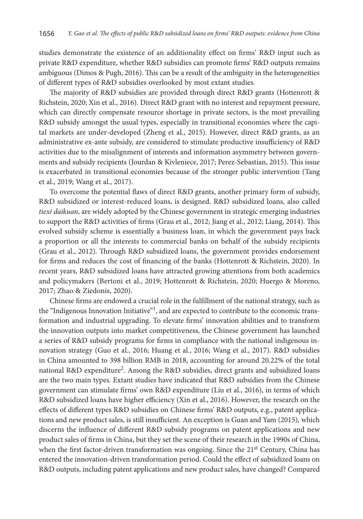studies demonstrate the existence of an additionality effect on firms' R&D input such as private R&D expenditure, whether R&D subsidies can promote firms' R&D outputs remains ambiguous (Dimos & Pugh, 2016). This can be a result of the ambiguity in the heterogeneities of different types of R&D subsidies overlooked by most extant studies.

The majority of R&D subsidies are provided through direct R&D grants (Hottenrott & Richstein, 2020; Xin et al., 2016). Direct R&D grant with no interest and repayment pressure, which can directly compensate resource shortage in private sectors, is the most prevailing R&D subsidy amongst the usual types, especially in transitional economies where the capital markets are under-developed (Zheng et al., 2015). However, direct R&D grants, as an administrative ex-ante subsidy, are considered to stimulate productive insufficiency of R&D activities due to the misalignment of interests and information asymmetry between governments and subsidy recipients (Jourdan & Kivleniece, 2017; Perez-Sebastian, 2015). This issue is exacerbated in transitional economies because of the stronger public intervention (Tang et al., 2019; Wang et al., 2017).

To overcome the potential flaws of direct R&D grants, another primary form of subsidy, R&D subsidized or interest-reduced loans, is designed. R&D subsidized loans, also called *tiexi daikuan*, are widely adopted by the Chinese government in strategic emerging industries to support the R&D activities of firms (Grau et al., 2012; Jiang et al., 2012; Liang, 2014). This evolved subsidy scheme is essentially a business loan, in which the government pays back a proportion or all the interests to commercial banks on behalf of the subsidy recipients (Grau et al., 2012). Through R&D subsidized loans, the government provides endorsement for firms and reduces the cost of financing of the banks (Hottenrott & Richstein, 2020). In recent years, R&D subsidized loans have attracted growing attentions from both academics and policymakers (Bertoni et al., 2019; Hottenrott & Richstein, 2020; Huergo & Moreno, 2017; Zhao & Ziedonis, 2020).

Chinese firms are endowed a crucial role in the fulfillment of the national strategy, such as the "Indigenous Innovation Initiative"<sup>1</sup>, and are expected to contribute to the economic transformation and industrial upgrading. To elevate firms' innovation abilities and to transform the innovation outputs into market competitiveness, the Chinese government has launched a series of R&D subsidy programs for firms in compliance with the national indigenous innovation strategy (Guo et al., 2016; Huang et al., 2016; Wang et al., 2017). R&D subsidies in China amounted to 398 billion RMB in 2018, accounting for around 20.22% of the total national R&D expenditure<sup>2</sup>. Among the R&D subsidies, direct grants and subsidized loans are the two main types. Extant studies have indicated that R&D subsidies from the Chinese government can stimulate firms' own R&D expenditure (Liu et al., 2016), in terms of which R&D subsidized loans have higher efficiency (Xin et al., 2016). However, the research on the effects of different types R&D subsidies on Chinese firms' R&D outputs, e.g., patent applications and new product sales, is still insufficient. An exception is Guan and Yam (2015), which discerns the influence of different R&D subsidy programs on patent applications and new product sales of firms in China, but they set the scene of their research in the 1990s of China, when the first factor-driven transformation was ongoing. Since the 21<sup>st</sup> Century, China has entered the innovation-driven transformation period. Could the effect of subsidized loans on R&D outputs, including patent applications and new product sales, have changed? Compared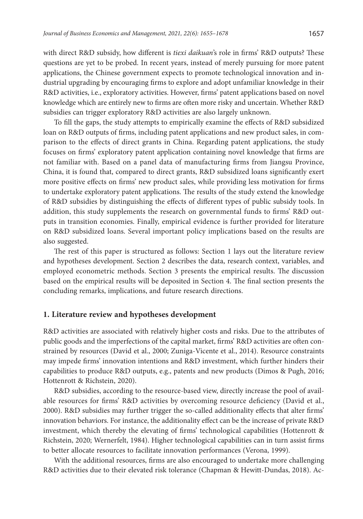with direct R&D subsidy, how different is *tiexi daikuan*'s role in firms' R&D outputs? These questions are yet to be probed. In recent years, instead of merely pursuing for more patent applications, the Chinese government expects to promote technological innovation and industrial upgrading by encouraging firms to explore and adopt unfamiliar knowledge in their R&D activities, i.e., exploratory activities. However, firms' patent applications based on novel knowledge which are entirely new to firms are often more risky and uncertain. Whether R&D subsidies can trigger exploratory R&D activities are also largely unknown.

To fill the gaps, the study attempts to empirically examine the effects of R&D subsidized loan on R&D outputs of firms, including patent applications and new product sales, in comparison to the effects of direct grants in China. Regarding patent applications, the study focuses on firms' exploratory patent application containing novel knowledge that firms are not familiar with. Based on a panel data of manufacturing firms from Jiangsu Province, China, it is found that, compared to direct grants, R&D subsidized loans significantly exert more positive effects on firms' new product sales, while providing less motivation for firms to undertake exploratory patent applications. The results of the study extend the knowledge of R&D subsidies by distinguishing the effects of different types of public subsidy tools. In addition, this study supplements the research on governmental funds to firms' R&D outputs in transition economies. Finally, empirical evidence is further provided for literature on R&D subsidized loans. Several important policy implications based on the results are also suggested.

The rest of this paper is structured as follows: Section 1 lays out the literature review and hypotheses development. Section 2 describes the data, research context, variables, and employed econometric methods. Section 3 presents the empirical results. The discussion based on the empirical results will be deposited in Section 4. The final section presents the concluding remarks, implications, and future research directions.

#### **1. Literature review and hypotheses development**

R&D activities are associated with relatively higher costs and risks. Due to the attributes of public goods and the imperfections of the capital market, firms' R&D activities are often constrained by resources (David et al., 2000; Zuniga-Vicente et al., 2014). Resource constraints may impede firms' innovation intentions and R&D investment, which further hinders their capabilities to produce R&D outputs, e.g., patents and new products (Dimos & Pugh, 2016; Hottenrott & Richstein, 2020).

R&D subsidies, according to the resource-based view, directly increase the pool of available resources for firms' R&D activities by overcoming resource deficiency (David et al., 2000). R&D subsidies may further trigger the so-called additionality effects that alter firms' innovation behaviors. For instance, the additionality effect can be the increase of private R&D investment, which thereby the elevating of firms' technological capabilities (Hottenrott & Richstein, 2020; Wernerfelt, 1984). Higher technological capabilities can in turn assist firms to better allocate resources to facilitate innovation performances (Verona, 1999).

With the additional resources, firms are also encouraged to undertake more challenging R&D activities due to their elevated risk tolerance (Chapman & Hewitt-Dundas, 2018). Ac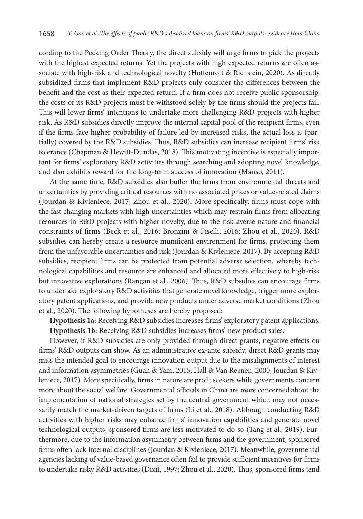cording to the Pecking Order Theory, the direct subsidy will urge firms to pick the projects with the highest expected returns. Yet the projects with high expected returns are often associate with high-risk and technological novelty (Hottenrott & Richstein, 2020). As directly subsidized firms that implement R&D projects only consider the differences between the benefit and the cost as their expected return. If a firm does not receive public sponsorship, the costs of its R&D projects must be withstood solely by the firms should the projects fail. This will lower firms' intentions to undertake more challenging R&D projects with higher risk. As R&D subsidies directly improve the internal capital pool of the recipient firms, even if the firms face higher probability of failure led by increased risks, the actual loss is (partially) covered by the R&D subsidies. Thus, R&D subsidies can increase recipient firms' risk tolerance (Chapman & Hewitt-Dundas, 2018). This motivating incentive is especially important for firms' exploratory R&D activities through searching and adopting novel knowledge, and also exhibits reward for the long-term success of innovation (Manso, 2011).

At the same time, R&D subsidies also buffer the firms from environmental threats and uncertainties by providing critical resources with no associated prices or value-related claims (Jourdan & Kivleniece, 2017; Zhou et al., 2020). More specifically, firms must cope with the fast changing markets with high uncertainties which may restrain firms from allocating resources in R&D projects with higher novelty, due to the risk-averse nature and financial constraints of firms (Beck et al., 2016; Bronzini & Piselli, 2016; Zhou et al., 2020). R&D subsidies can hereby create a resource munificent environment for firms, protecting them from the unfavorable uncertainties and risk (Jourdan & Kivleniece, 2017). By accepting R&D subsidies, recipient firms can be protected from potential adverse selection, whereby technological capabilities and resource are enhanced and allocated more effectively to high-risk but innovative explorations (Rangan et al., 2006). Thus, R&D subsidies can encourage firms to undertake exploratory R&D activities that generate novel knowledge, trigger more exploratory patent applications, and provide new products under adverse market conditions (Zhou et al., 2020). The following hypotheses are hereby proposed:

**Hypothesis 1a:** Receiving R&D subsidies increases firms' exploratory patent applications. **Hypothesis 1b:** Receiving R&D subsidies increases firms' new product sales.

However, if R&D subsidies are only provided through direct grants, negative effects on firms' R&D outputs can show. As an administrative ex-ante subsidy, direct R&D grants may miss the intended goal to encourage innovation output due to the misalignments of interest and information asymmetries (Guan & Yam, 2015; Hall & Van Reenen, 2000; Jourdan & Kivleniece, 2017). More specifically, firms in nature are profit seekers while governments concern more about the social welfare. Governmental officials in China are more concerned about the implementation of national strategies set by the central government which may not necessarily match the market-driven targets of firms (Li et al., 2018). Although conducting R&D activities with higher risks may enhance firms' innovation capabilities and generate novel technological outputs, sponsored firms are less motivated to do so (Tang et al., 2019). Furthermore, due to the information asymmetry between firms and the government, sponsored firms often lack internal disciplines (Jourdan & Kivleniece, 2017). Meanwhile, governmental agencies lacking of value-based governance often fail to provide sufficient incentives for firms to undertake risky R&D activities (Dixit, 1997; Zhou et al., 2020). Thus, sponsored firms tend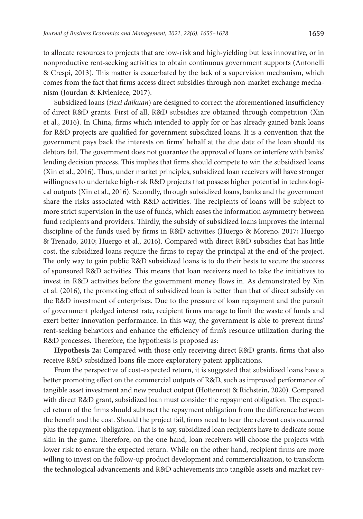to allocate resources to projects that are low-risk and high-yielding but less innovative, or in nonproductive rent-seeking activities to obtain continuous government supports (Antonelli & Crespi, 2013). This matter is exacerbated by the lack of a supervision mechanism, which comes from the fact that firms access direct subsidies through non-market exchange mechanism (Jourdan & Kivleniece, 2017).

Subsidized loans (*tiexi daikuan*) are designed to correct the aforementioned insufficiency of direct R&D grants. First of all, R&D subsidies are obtained through competition (Xin et al., 2016). In China, firms which intended to apply for or has already gained bank loans for R&D projects are qualified for government subsidized loans. It is a convention that the government pays back the interests on firms' behalf at the due date of the loan should its debtors fail. The government does not guarantee the approval of loans or interfere with banks' lending decision process. This implies that firms should compete to win the subsidized loans (Xin et al., 2016). Thus, under market principles, subsidized loan receivers will have stronger willingness to undertake high-risk R&D projects that possess higher potential in technological outputs (Xin et al., 2016). Secondly, through subsidized loans, banks and the government share the risks associated with R&D activities. The recipients of loans will be subject to more strict supervision in the use of funds, which eases the information asymmetry between fund recipients and providers. Thirdly, the subsidy of subsidized loans improves the internal discipline of the funds used by firms in R&D activities (Huergo & Moreno, 2017; Huergo & Trenado, 2010; Huergo et al., 2016). Compared with direct R&D subsidies that has little cost, the subsidized loans require the firms to repay the principal at the end of the project. The only way to gain public R&D subsidized loans is to do their bests to secure the success of sponsored R&D activities. This means that loan receivers need to take the initiatives to invest in R&D activities before the government money flows in. As demonstrated by Xin et al. (2016), the promoting effect of subsidized loan is better than that of direct subsidy on the R&D investment of enterprises. Due to the pressure of loan repayment and the pursuit of government pledged interest rate, recipient firms manage to limit the waste of funds and exert better innovation performance. In this way, the government is able to prevent firms' rent-seeking behaviors and enhance the efficiency of firm's resource utilization during the R&D processes. Therefore, the hypothesis is proposed as:

**Hypothesis 2a:** Compared with those only receiving direct R&D grants, firms that also receive R&D subsidized loans file more exploratory patent applications.

From the perspective of cost-expected return, it is suggested that subsidized loans have a better promoting effect on the commercial outputs of R&D, such as improved performance of tangible asset investment and new product output (Hottenrott & Richstein, 2020). Compared with direct R&D grant, subsidized loan must consider the repayment obligation. The expected return of the firms should subtract the repayment obligation from the difference between the benefit and the cost. Should the project fail, firms need to bear the relevant costs occurred plus the repayment obligation. That is to say, subsidized loan recipients have to dedicate some skin in the game. Therefore, on the one hand, loan receivers will choose the projects with lower risk to ensure the expected return. While on the other hand, recipient firms are more willing to invest on the follow-up product development and commercialization, to transform the technological advancements and R&D achievements into tangible assets and market rev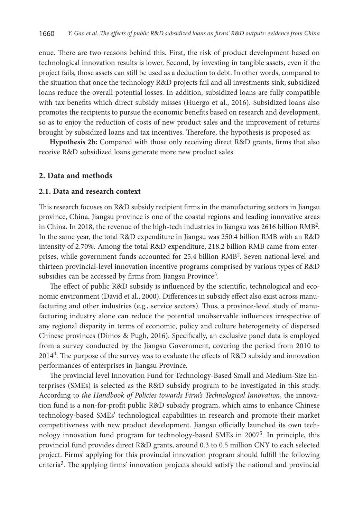enue. There are two reasons behind this. First, the risk of product development based on technological innovation results is lower. Second, by investing in tangible assets, even if the project fails, those assets can still be used as a deduction to debt. In other words, compared to the situation that once the technology R&D projects fail and all investments sink, subsidized loans reduce the overall potential losses. In addition, subsidized loans are fully compatible with tax benefits which direct subsidy misses (Huergo et al., 2016). Subsidized loans also promotes the recipients to pursue the economic benefits based on research and development, so as to enjoy the reduction of costs of new product sales and the improvement of returns brought by subsidized loans and tax incentives. Therefore, the hypothesis is proposed as:

**Hypothesis 2b:** Compared with those only receiving direct R&D grants, firms that also receive R&D subsidized loans generate more new product sales.

## **2. Data and methods**

#### **2.1. Data and research context**

This research focuses on R&D subsidy recipient firms in the manufacturing sectors in Jiangsu province, China. Jiangsu province is one of the coastal regions and leading innovative areas in China. In 2018, the revenue of the high-tech industries in Jiangsu was 2616 billion RMB2. In the same year, the total R&D expenditure in Jiangsu was 250.4 billion RMB with an R&D intensity of 2.70%. Among the total R&D expenditure, 218.2 billion RMB came from enterprises, while government funds accounted for 25.4 billion RMB2. Seven national-level and thirteen provincial-level innovation incentive programs comprised by various types of R&D subsidies can be accessed by firms from Jiangsu Province<sup>3</sup>.

The effect of public R&D subsidy is influenced by the scientific, technological and economic environment (David et al., 2000). Differences in subsidy effect also exist across manufacturing and other industries (e.g., service sectors). Thus, a province-level study of manufacturing industry alone can reduce the potential unobservable influences irrespective of any regional disparity in terms of economic, policy and culture heterogeneity of dispersed Chinese provinces (Dimos & Pugh, 2016). Specifically, an exclusive panel data is employed from a survey conducted by the Jiangsu Government, covering the period from 2010 to 20144. The purpose of the survey was to evaluate the effects of R&D subsidy and innovation performances of enterprises in Jiangsu Province.

The provincial level Innovation Fund for Technology-Based Small and Medium-Size Enterprises (SMEs) is selected as the R&D subsidy program to be investigated in this study. According to *the Handbook of Policies towards Firm's Technological Innovation*, the innovation fund is a non-for-profit public R&D subsidy program, which aims to enhance Chinese technology-based SMEs' technological capabilities in research and promote their market competitiveness with new product development. Jiangsu officially launched its own technology innovation fund program for technology-based SMEs in 2007<sup>5</sup>. In principle, this provincial fund provides direct R&D grants, around 0.3 to 0.5 million CNY to each selected project. Firms' applying for this provincial innovation program should fulfill the following criteria3. The applying firms' innovation projects should satisfy the national and provincial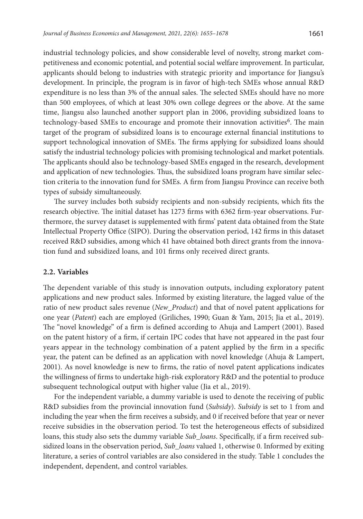industrial technology policies, and show considerable level of novelty, strong market competitiveness and economic potential, and potential social welfare improvement. In particular, applicants should belong to industries with strategic priority and importance for Jiangsu's development. In principle, the program is in favor of high-tech SMEs whose annual R&D expenditure is no less than 3% of the annual sales. The selected SMEs should have no more than 500 employees, of which at least 30% own college degrees or the above. At the same time, Jiangsu also launched another support plan in 2006, providing subsidized loans to technology-based SMEs to encourage and promote their innovation activities<sup>6</sup>. The main target of the program of subsidized loans is to encourage external financial institutions to support technological innovation of SMEs. The firms applying for subsidized loans should satisfy the industrial technology policies with promising technological and market potentials. The applicants should also be technology-based SMEs engaged in the research, development and application of new technologies. Thus, the subsidized loans program have similar selection criteria to the innovation fund for SMEs. A firm from Jiangsu Province can receive both types of subsidy simultaneously.

The survey includes both subsidy recipients and non-subsidy recipients, which fits the research objective. The initial dataset has 1273 firms with 6362 firm-year observations. Furthermore, the survey dataset is supplemented with firms' patent data obtained from the State Intellectual Property Office (SIPO). During the observation period, 142 firms in this dataset received R&D subsidies, among which 41 have obtained both direct grants from the innovation fund and subsidized loans, and 101 firms only received direct grants.

#### **2.2. Variables**

The dependent variable of this study is innovation outputs, including exploratory patent applications and new product sales. Informed by existing literature, the lagged value of the ratio of new product sales revenue (*New\_Product*) and that of novel patent applications for one year (*Patent*) each are employed (Griliches, 1990; Guan & Yam, 2015; Jia et al., 2019). The "novel knowledge" of a firm is defined according to Ahuja and Lampert (2001). Based on the patent history of a firm, if certain IPC codes that have not appeared in the past four years appear in the technology combination of a patent applied by the firm in a specific year, the patent can be defined as an application with novel knowledge (Ahuja & Lampert, 2001). As novel knowledge is new to firms, the ratio of novel patent applications indicates the willingness of firms to undertake high-risk exploratory R&D and the potential to produce subsequent technological output with higher value (Jia et al., 2019).

For the independent variable, a dummy variable is used to denote the receiving of public R&D subsidies from the provincial innovation fund (*Subsidy*). *Subsidy* is set to 1 from and including the year when the firm receives a subsidy, and 0 if received before that year or never receive subsidies in the observation period. To test the heterogeneous effects of subsidized loans, this study also sets the dummy variable *Sub\_loans*. Specifically, if a firm received subsidized loans in the observation period, *Sub\_loans* valued 1, otherwise 0. Informed by exiting literature, a series of control variables are also considered in the study. Table 1 concludes the independent, dependent, and control variables.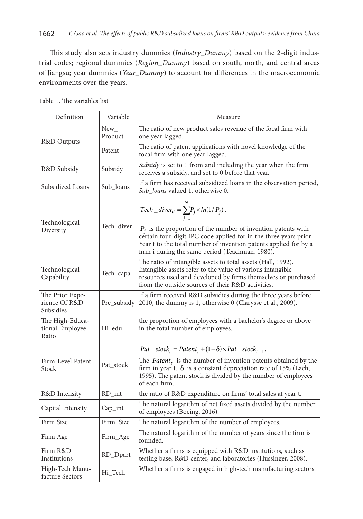This study also sets industry dummies (*Industry\_Dummy*) based on the 2-digit industrial codes; regional dummies (*Region\_Dummy*) based on south, north, and central areas of Jiangsu; year dummies (*Year\_Dummy*) to account for differences in the macroeconomic environments over the years.

| Definition                                    | Variable             | Measure                                                                                                                                                                                                                                                                                                                          |
|-----------------------------------------------|----------------------|----------------------------------------------------------------------------------------------------------------------------------------------------------------------------------------------------------------------------------------------------------------------------------------------------------------------------------|
|                                               | $New_{-}$<br>Product | The ratio of new product sales revenue of the focal firm with<br>one year lagged.                                                                                                                                                                                                                                                |
| R&D Outputs                                   | Patent               | The ratio of patent applications with novel knowledge of the<br>focal firm with one year lagged.                                                                                                                                                                                                                                 |
| R&D Subsidy                                   | Subsidy              | <i>Subsidy</i> is set to 1 from and including the year when the firm<br>receives a subsidy, and set to 0 before that year.                                                                                                                                                                                                       |
| Subsidized Loans                              | Sub_loans            | If a firm has received subsidized loans in the observation period,<br>Sub_loans valued 1, otherwise 0.                                                                                                                                                                                                                           |
| Technological<br>Diversity                    | Tech_diver           | Tech_diver <sub>it</sub> = $\sum_{i=1}^{N} P_j \times ln(1/P_j)$ .<br>$P_i$ is the proportion of the number of invention patents with<br>certain four-digit IPC code applied for in the three years prior<br>Year t to the total number of invention patents applied for by a<br>firm i during the same period (Teachman, 1980). |
| Technological<br>Capability                   | Tech_capa            | The ratio of intangible assets to total assets (Hall, 1992).<br>Intangible assets refer to the value of various intangible<br>resources used and developed by firms themselves or purchased<br>from the outside sources of their R&D activities.                                                                                 |
| The Prior Expe-<br>rience Of R&D<br>Subsidies | Pre_subsidy          | If a firm received R&D subsidies during the three years before<br>2010, the dummy is 1, otherwise 0 (Clarysse et al., 2009).                                                                                                                                                                                                     |
| The High-Educa-<br>tional Employee<br>Ratio   | Hi edu               | the proportion of employees with a bachelor's degree or above<br>in the total number of employees.                                                                                                                                                                                                                               |
|                                               |                      | $Pat\_stock_t = Patent_t + (1 - \delta) \times Pat\_stock_{t-1}$ .                                                                                                                                                                                                                                                               |
| Firm-Level Patent<br>Stock                    | Pat_stock            | The <i>Patent<sub>t</sub></i> is the number of invention patents obtained by the<br>firm in year t. $\delta$ is a constant depreciation rate of 15% (Lach,<br>1995). The patent stock is divided by the number of employees<br>of each firm.                                                                                     |
| R&D Intensity                                 | RD_int               | the ratio of R&D expenditure on firms' total sales at year t.                                                                                                                                                                                                                                                                    |
| Capital Intensity                             | $Cap_$ int           | The natural logarithm of net fixed assets divided by the number<br>of employees (Boeing, 2016).                                                                                                                                                                                                                                  |
| Firm Size                                     | Firm_Size            | The natural logarithm of the number of employees.                                                                                                                                                                                                                                                                                |
| Firm Age                                      | Firm_Age             | The natural logarithm of the number of years since the firm is<br>founded.                                                                                                                                                                                                                                                       |
| Firm R&D<br>Institutions                      | RD_Dpart             | Whether a firms is equipped with R&D institutions, such as<br>testing base, R&D center, and laboratories (Hussinger, 2008).                                                                                                                                                                                                      |
| High-Tech Manu-<br>facture Sectors            | Hi_Tech              | Whether a firms is engaged in high-tech manufacturing sectors.                                                                                                                                                                                                                                                                   |

Table 1. The variables list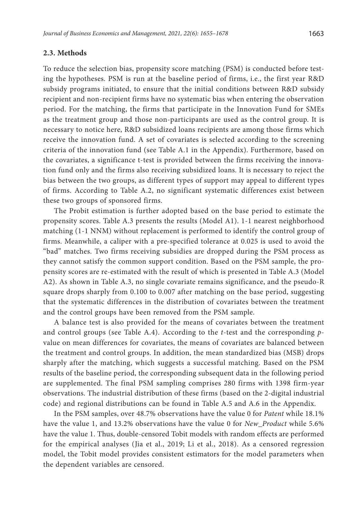#### **2.3. Methods**

To reduce the selection bias, propensity score matching (PSM) is conducted before testing the hypotheses. PSM is run at the baseline period of firms, i.e., the first year R&D subsidy programs initiated, to ensure that the initial conditions between R&D subsidy recipient and non-recipient firms have no systematic bias when entering the observation period. For the matching, the firms that participate in the Innovation Fund for SMEs as the treatment group and those non-participants are used as the control group. It is necessary to notice here, R&D subsidized loans recipients are among those firms which receive the innovation fund. A set of covariates is selected according to the screening criteria of the innovation fund (see Table A.1 in the Appendix). Furthermore, based on the covariates, a significance t-test is provided between the firms receiving the innovation fund only and the firms also receiving subsidized loans. It is necessary to reject the bias between the two groups, as different types of support may appeal to different types of firms. According to Table A.2, no significant systematic differences exist between these two groups of sponsored firms.

The Probit estimation is further adopted based on the base period to estimate the propensity scores. Table A.3 presents the results (Model A1). 1-1 nearest neighborhood matching (1-1 NNM) without replacement is performed to identify the control group of firms. Meanwhile, a caliper with a pre-specified tolerance at 0.025 is used to avoid the "bad" matches. Two firms receiving subsidies are dropped during the PSM process as they cannot satisfy the common support condition. Based on the PSM sample, the propensity scores are re-estimated with the result of which is presented in Table A.3 (Model A2). As shown in Table A.3, no single covariate remains significance, and the pseudo-R square drops sharply from 0.100 to 0.007 after matching on the base period, suggesting that the systematic differences in the distribution of covariates between the treatment and the control groups have been removed from the PSM sample.

A balance test is also provided for the means of covariates between the treatment and control groups (see Table A.4). According to the *t*-test and the corresponding *p*value on mean differences for covariates, the means of covariates are balanced between the treatment and control groups. In addition, the mean standardized bias (MSB) drops sharply after the matching, which suggests a successful matching. Based on the PSM results of the baseline period, the corresponding subsequent data in the following period are supplemented. The final PSM sampling comprises 280 firms with 1398 firm-year observations. The industrial distribution of these firms (based on the 2-digital industrial code) and regional distributions can be found in Table A.5 and A.6 in the Appendix.

In the PSM samples, over 48.7% observations have the value 0 for *Patent* while 18.1% have the value 1, and 13.2% observations have the value 0 for *New\_Product* while 5.6% have the value 1. Thus, double-censored Tobit models with random effects are performed for the empirical analyses (Jia et al., 2019; Li et al., 2018). As a censored regression model, the Tobit model provides consistent estimators for the model parameters when the dependent variables are censored.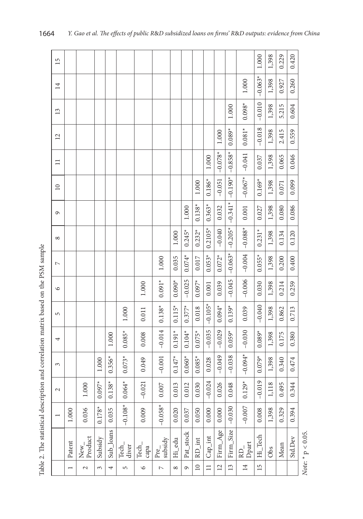| 15              |                          |                 |           |           |                    |               |                  |                      |                  |                 |            |                |                  |                 | 1.000     | 1,398 | 0.229 | 0.420   |
|-----------------|--------------------------|-----------------|-----------|-----------|--------------------|---------------|------------------|----------------------|------------------|-----------------|------------|----------------|------------------|-----------------|-----------|-------|-------|---------|
| 14              |                          |                 |           |           |                    |               |                  |                      |                  |                 |            |                |                  | 1.000           | $-0.063*$ | 1,398 | 0.927 | 0.260   |
| $\overline{13}$ |                          |                 |           |           |                    |               |                  |                      |                  |                 |            |                | 1.000            | $0.098*$        | $-0.010$  | 1,398 | 5.215 | 0.604   |
| $\overline{12}$ |                          |                 |           |           |                    |               |                  |                      |                  |                 |            | 1.000          | $0.089*$         | $0.081*$        | $-0.018$  | 1,398 | 2.415 | 0.559   |
| $\equiv$        |                          |                 |           |           |                    |               |                  |                      |                  |                 | $1.000\,$  | $-0.078*$      | $-0.858*$        | $-0.041$        | 0.037     | 1,398 | 0.065 | 0.046   |
| $\overline{10}$ |                          |                 |           |           |                    |               |                  |                      |                  | 1.000           | $0.186*$   | $-0.051$       | $-0.190*$        | $-0.067*$       | $0.169*$  | 1,398 | 0.071 | 0.099   |
| $\circ$         |                          |                 |           |           |                    |               |                  |                      | 1.000            | $0.138*$        | $0.363*$   | 0.032          | $-0.341*$        | 0.001           | 0.027     | 1,398 | 0.080 | 0.086   |
| $\infty$        |                          |                 |           |           |                    |               |                  | 1.000                | $0.245*$         | $0.232*$        | $0.2105*$  | $-0.040$       | $-0.205*$        | $-0.088*$       | $0.231*$  | 1,398 | 0.134 | 0.120   |
| $\overline{ }$  |                          |                 |           |           |                    |               | 1.000            | 0.035                | $0.074*$         | $0.017\,$       | $0.053*$   | $0.072*$       | $-0.063*$        | $-0.004$        | $0.055*$  | 1,398 | 0.200 | 0.400   |
| $\circ$         |                          |                 |           |           |                    | 1.000         | $0.091*$         | $0.090*$             | $-0.025$         | $0.097*$        | 0.001      | 0.039          | $-0.045$         | $-0.006$        | 0.030     | 1,398 | 0.214 | 0.259   |
| $\sqrt{2}$      |                          |                 |           |           | 1.000              | 0.011         | $0.138*$         | $0.115*$             | $0.377*$         | 0.018           | $-0.105*$  | $0.094*$       | $0.139*$         | 0.039           | $-0.040$  | 1,398 | 0.862 | 0.713   |
| 4               |                          |                 |           | 1.000     | $0.085*$           | 0.008         | $-0.014$         | $0.191*$             | $0.104*$         | $0.075*$        | $-0.035$   | $-0.029$       | $0.059*$         | $-0.030$        | $0.089*$  | 1,398 | 0.175 | 0.380   |
| 3               |                          |                 | $1.000\,$ | $0.356*$  | $0.073*$           | 0.049         | $-0.001$         | $0.147*$             | $0.060*$         | $0.085*$        | 0.028      | $-0.049$       | $-0.038$         | $-0.094*$       | $0.079*$  | 1,398 | 0.340 | 0.474   |
| $\mathcal{L}$   |                          | 000             | $0.097*$  | $0.138*$  | $.064*$<br>$\circ$ | 0.021<br>ī    | 1.007<br>$\circ$ | .013<br>$\circ$      | 1.012<br>$\circ$ | 030.            | $-0.024$   | 0.026          | 1.048<br>$\circ$ | $0.129*$        | $-0.019$  | 1,118 | 1.495 | 0.344   |
|                 | 1.000                    | 0.036           | $0.178*$  | 0.035     | $-0.108*$          | 0.009         | $-0.058*$        | 0.020                | 0.037            | 0.050           | 0.000      | 0.000          | $-0.030$         | $-0.007$        | 0.008     | 1,398 | 0.329 | 0.394   |
|                 | Patent                   | New_<br>Product | Subsidy   | Sub_loans | Tech_<br>diver     | Tech_<br>capa | Pre_<br>subsidy  | $Hi$ <sub>_edu</sub> | Pat_stock        | $RD\_int$       | $Cap\_int$ | Firm_Age       | Firm_Size        | RD_<br>Dpart    | Hi_Tech   | Obs   | Mean  | Std.Dev |
|                 | $\overline{\phantom{0}}$ | $\sim$          | 3         | 4         | 5                  | $\circ$       | $\overline{C}$   | $^{\circ}$           | $\sigma$         | $\overline{10}$ | $\equiv$   | $\overline{c}$ | 13               | $\overline{14}$ | 15        |       |       |         |

Table 2. The statistical description and correlation matrix based on the PSM sample Table 2. The statistical description and correlation matrix based on the PSM sample

Note: \* p $< 0.05$ . *Note*: \* p < 0.05.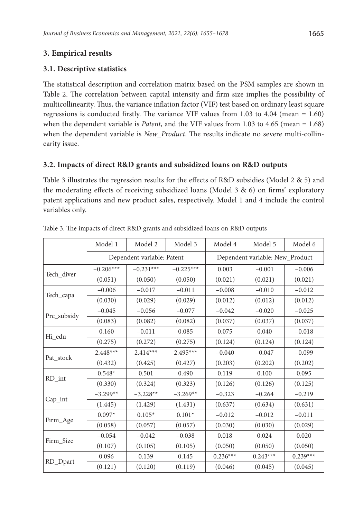# **3. Empirical results**

## **3.1. Descriptive statistics**

The statistical description and correlation matrix based on the PSM samples are shown in Table 2. The correlation between capital intensity and firm size implies the possibility of multicollinearity. Thus, the variance inflation factor (VIF) test based on ordinary least square regressions is conducted firstly. The variance VIF values from 1.03 to 4.04 (mean = 1.60) when the dependent variable is *Patent*, and the VIF values from 1.03 to 4.65 (mean = 1.68) when the dependent variable is *New\_Product*. The results indicate no severe multi-collinearity issue.

## **3.2. Impacts of direct R&D grants and subsidized loans on R&D outputs**

Table 3 illustrates the regression results for the effects of R&D subsidies (Model 2 & 5) and the moderating effects of receiving subsidized loans (Model  $3 \& 6$ ) on firms' exploratory patent applications and new product sales, respectively. Model 1 and 4 include the control variables only.

|             | Model 1     | Model 2                    | Model 3     | Model 4    | Model 5                         | Model 6    |
|-------------|-------------|----------------------------|-------------|------------|---------------------------------|------------|
|             |             | Dependent variable: Patent |             |            | Dependent variable: New_Product |            |
|             | $-0.206***$ | $-0.231***$                | $-0.225***$ | 0.003      | $-0.001$                        | $-0.006$   |
| Tech_diver  | (0.051)     | (0.050)                    | (0.050)     | (0.021)    | (0.021)                         | (0.021)    |
|             | $-0.006$    | $-0.017$                   | $-0.011$    | $-0.008$   | $-0.010$                        | $-0.012$   |
| Tech_capa   | (0.030)     | (0.029)                    | (0.029)     | (0.012)    | (0.012)                         | (0.012)    |
|             | $-0.045$    | $-0.056$                   | $-0.077$    | $-0.042$   | $-0.020$                        | $-0.025$   |
| Pre_subsidy | (0.083)     | (0.082)                    | (0.082)     | (0.037)    | (0.037)                         | (0.037)    |
|             | 0.160       | $-0.011$                   | 0.085       | 0.075      | 0.040                           | $-0.018$   |
| Hi edu      | (0.275)     | (0.272)                    | (0.275)     | (0.124)    | (0.124)                         | (0.124)    |
|             | $2.448***$  | $2.414***$                 | $2.495***$  | $-0.040$   | $-0.047$                        | $-0.099$   |
| Pat stock   | (0.432)     | (0.425)                    | (0.427)     | (0.203)    | (0.202)                         | (0.202)    |
| RD_int      | $0.548*$    | 0.501                      | 0.490       | 0.119      | 0.100                           | 0.095      |
|             | (0.330)     | (0.324)                    | (0.323)     | (0.126)    | (0.126)                         | (0.125)    |
|             | $-3.299**$  | $-3.228**$                 | $-3.269**$  | $-0.323$   | $-0.264$                        | $-0.219$   |
| Cap_int     | (1.445)     | (1.429)                    | (1.431)     | (0.637)    | (0.634)                         | (0.631)    |
|             | $0.097*$    | $0.105*$                   | $0.101*$    | $-0.012$   | $-0.012$                        | $-0.011$   |
| Firm_Age    | (0.058)     | (0.057)                    | (0.057)     | (0.030)    | (0.030)                         | (0.029)    |
| Firm Size   | $-0.054$    | $-0.042$                   | $-0.038$    | 0.018      | 0.024                           | 0.020      |
|             | (0.107)     | (0.105)                    | (0.105)     | (0.050)    | (0.050)                         | (0.050)    |
|             | 0.096       | 0.139                      | 0.145       | $0.236***$ | $0.243***$                      | $0.239***$ |
| RD_Dpart    | (0.121)     | (0.120)                    | (0.119)     | (0.046)    | (0.045)                         | (0.045)    |

Table 3. The impacts of direct R&D grants and subsidized loans on R&D outputs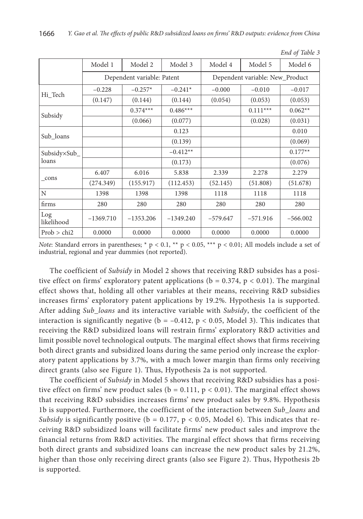|                   | Model 1     | Model 2                    | Model 3     | Model 4                         | Model 5    | Model 6    |  |
|-------------------|-------------|----------------------------|-------------|---------------------------------|------------|------------|--|
|                   |             | Dependent variable: Patent |             | Dependent variable: New_Product |            |            |  |
|                   | $-0.228$    | $-0.257*$                  | $-0.241*$   | $-0.000$                        | $-0.010$   | $-0.017$   |  |
| Hi Tech           | (0.147)     | (0.144)                    | (0.144)     | (0.054)                         | (0.053)    | (0.053)    |  |
| Subsidy           |             | $0.374***$                 | $0.486***$  |                                 | $0.111***$ | $0.062**$  |  |
|                   |             | (0.066)                    | (0.077)     |                                 | (0.028)    | (0.031)    |  |
|                   |             |                            | 0.123       |                                 |            | 0.010      |  |
| Sub_loans         |             |                            | (0.139)     |                                 |            | (0.069)    |  |
| Subsidy×Sub_      |             |                            | $-0.412**$  |                                 |            | $0.177**$  |  |
| loans             |             |                            | (0.173)     |                                 |            | (0.076)    |  |
|                   | 6.407       | 6.016                      | 5.838       | 2.339                           | 2.278      | 2.279      |  |
| cons              | (274.349)   | (155.917)                  | (112.453)   | (52.145)                        | (51.808)   | (51.678)   |  |
| N                 | 1398        | 1398                       | 1398        | 1118                            | 1118       | 1118       |  |
| firms             | 280         | 280                        | 280         | 280                             | 280        | 280        |  |
| Log<br>likelihood | $-1369.710$ | $-1353.206$                | $-1349.240$ | $-579.647$                      | $-571.916$ | $-566,002$ |  |
| Prob > chi2       | 0.0000      | 0.0000                     | 0.0000      | 0.0000                          | 0.0000     | 0.0000     |  |

*End of Table 3*

*Note*: Standard errors in parentheses; \* p < 0.1, \*\* p < 0.05, \*\*\* p < 0.01; All models include a set of industrial, regional and year dummies (not reported).

The coefficient of *Subsidy* in Model 2 shows that receiving R&D subsides has a positive effect on firms' exploratory patent applications ( $b = 0.374$ ,  $p < 0.01$ ). The marginal effect shows that, holding all other variables at their means, receiving R&D subsidies increases firms' exploratory patent applications by 19.2%. Hypothesis 1a is supported. After adding *Sub\_loans* and its interactive variable with *Subsidy*, the coefficient of the interaction is significantly negative ( $b = -0.412$ ,  $p < 0.05$ , Model 3). This indicates that receiving the R&D subsidized loans will restrain firms' exploratory R&D activities and limit possible novel technological outputs. The marginal effect shows that firms receiving both direct grants and subsidized loans during the same period only increase the exploratory patent applications by 3.7%, with a much lower margin than firms only receiving direct grants (also see Figure 1). Thus, Hypothesis 2a is not supported.

The coefficient of *Subsidy* in Model 5 shows that receiving R&D subsidies has a positive effect on firms' new product sales ( $b = 0.111$ ,  $p < 0.01$ ). The marginal effect shows that receiving R&D subsidies increases firms' new product sales by 9.8%. Hypothesis 1b is supported. Furthermore, the coefficient of the interaction between *Sub\_loans* and *Subsidy* is significantly positive ( $b = 0.177$ ,  $p < 0.05$ , Model 6). This indicates that receiving R&D subsidized loans will facilitate firms' new product sales and improve the financial returns from R&D activities. The marginal effect shows that firms receiving both direct grants and subsidized loans can increase the new product sales by 21.2%, higher than those only receiving direct grants (also see Figure 2). Thus, Hypothesis 2b is supported.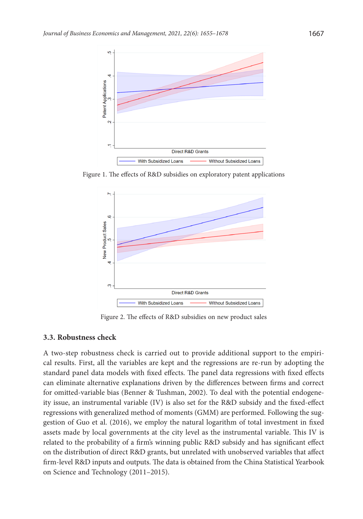

Figure 1. The effects of R&D subsidies on exploratory patent applications



Figure 2. The effects of R&D subsidies on new product sales

#### **3.3. Robustness check**

A two-step robustness check is carried out to provide additional support to the empirical results. First, all the variables are kept and the regressions are re-run by adopting the standard panel data models with fixed effects. The panel data regressions with fixed effects can eliminate alternative explanations driven by the differences between firms and correct for omitted-variable bias (Benner & Tushman, 2002). To deal with the potential endogeneity issue, an instrumental variable (IV) is also set for the R&D subsidy and the fixed-effect regressions with generalized method of moments (GMM) are performed. Following the suggestion of Guo et al. (2016), we employ the natural logarithm of total investment in fixed assets made by local governments at the city level as the instrumental variable. This IV is related to the probability of a firm's winning public R&D subsidy and has significant effect on the distribution of direct R&D grants, but unrelated with unobserved variables that affect firm-level R&D inputs and outputs. The data is obtained from the China Statistical Yearbook on Science and Technology (2011–2015).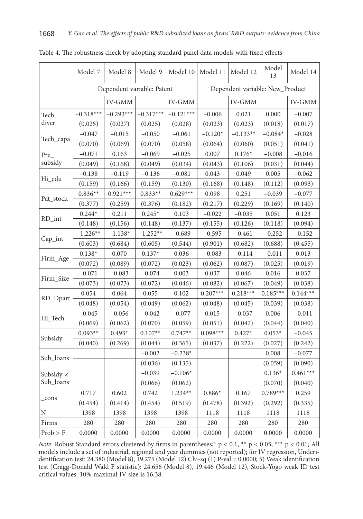|           | Model 7     | Model 8                    | Model 9     | Model 10    | Model 11                        | Model 12   | Model<br>13 | Model 14   |
|-----------|-------------|----------------------------|-------------|-------------|---------------------------------|------------|-------------|------------|
|           |             | Dependent variable: Patent |             |             | Dependent variable: New_Product |            |             |            |
|           |             | IV-GMM                     |             | IV-GMM      |                                 | IV-GMM     |             | IV-GMM     |
| Tech_     | $-0.318***$ | $-0.293***$                | $-0.317***$ | $-0.121***$ | $-0.006$                        | 0.021      | 0.000       | $-0.007$   |
| diver     | (0.025)     | (0.027)                    | (0.025)     | (0.028)     | (0.023)                         | (0.023)    | (0.018)     | (0.017)    |
|           | $-0.047$    | $-0.015$                   | $-0.050$    | $-0.061$    | $-0.120*$                       | $-0.133**$ | $-0.084*$   | $-0.028$   |
| Tech_capa | (0.070)     | (0.069)                    | (0.070)     | (0.058)     | (0.064)                         | (0.060)    | (0.051)     | (0.041)    |
| Pre       | $-0.071$    | 0.163                      | $-0.069$    | $-0.025$    | 0.007                           | $0.176*$   | $-0.008$    | $-0.016$   |
| subsidy   | (0.049)     | (0.168)                    | (0.049)     | (0.034)     | (0.043)                         | (0.106)    | (0.031)     | (0.044)    |
|           | $-0.138$    | $-0.119$                   | $-0.136$    | $-0.081$    | 0.043                           | 0.049      | 0.005       | $-0.062$   |
| Hi edu    | (0.159)     | (0.166)                    | (0.159)     | (0.130)     | (0.168)                         | (0.148)    | (0.112)     | (0.093)    |
|           | $0.836**$   | $0.921***$                 | $0.833**$   | $0.629***$  | 0.098                           | 0.251      | $-0.039$    | $-0.077$   |
| Pat stock | (0.377)     | (0.259)                    | (0.376)     | (0.182)     | (0.217)                         | (0.229)    | (0.169)     | (0.140)    |
|           | $0.244*$    | 0.211                      | $0.245*$    | 0.103       | $-0.022$                        | $-0.035$   | 0.051       | 0.123      |
| RD_int    | (0.148)     | (0.156)                    | (0.148)     | (0.137)     | (0.155)                         | (0.126)    | (0.118)     | (0.094)    |
|           | $-1.226**$  | $-1.138*$                  | $-1.252**$  | $-0.689$    | $-0.595$                        | $-0.461$   | $-0.252$    | $-0.152$   |
| Cap_int   | (0.603)     | (0.684)                    | (0.605)     | (0.544)     | (0.901)                         | (0.682)    | (0.688)     | (0.455)    |
|           | $0.138*$    | 0.070                      | $0.137*$    | 0.036       | $-0.083$                        | $-0.114$   | $-0.011$    | 0.013      |
| Firm Age  | (0.072)     | (0.089)                    | (0.072)     | (0.023)     | (0.062)                         | (0.087)    | (0.025)     | (0.019)    |
|           | $-0.071$    | $-0.083$                   | $-0.074$    | 0.003       | 0.037                           | 0.046      | 0.016       | 0.037      |
| Firm Size | (0.073)     | (0.073)                    | (0.072)     | (0.046)     | (0.082)                         | (0.067)    | (0.049)     | (0.038)    |
|           | 0.054       | 0.064                      | 0.055       | 0.102       | $0.207***$                      | $0.218***$ | $0.185***$  | $0.144***$ |
| RD_Dpart  | (0.048)     | (0.054)                    | (0.049)     | (0.062)     | (0.048)                         | (0.045)    | (0.039)     | (0.038)    |
|           | $-0.045$    | $-0.056$                   | $-0.042$    | $-0.077$    | 0.015                           | $-0.037$   | 0.006       | $-0.011$   |
| Hi_Tech   | (0.069)     | (0.062)                    | (0.070)     | (0.059)     | (0.051)                         | (0.047)    | (0.044)     | (0.040)    |
|           | $0.093**$   | $0.493*$                   | $0.107**$   | $0.747**$   | $0.098***$                      | $0.427*$   | $0.053*$    | $-0.045$   |
| Subsidy   | (0.040)     | (0.269)                    | (0.044)     | (0.365)     | (0.037)                         | (0.222)    | (0.027)     | (0.242)    |
| Sub_loans |             |                            | $-0.002$    | $-0.238*$   |                                 |            | 0.008       | $-0.077$   |
|           |             |                            | (0.036)     | (0.135)     |                                 |            | (0.059)     | (0.090)    |
| Subsidy × |             |                            | $-0.039$    | $-0.106*$   |                                 |            | $0.136*$    | $0.461***$ |
| Sub_loans |             |                            | (0.066)     | (0.062)     |                                 |            | (0.070)     | (0.040)    |
|           | 0.717       | 0.602                      | 0.742       | $1.234**$   | $0.886*$                        | 0.167      | $0.789***$  | 0.259      |
| cons      | (0.454)     | (0.414)                    | (0.454)     | (0.519)     | (0.478)                         | (0.392)    | (0.292)     | (0.335)    |
| N         | 1398        | 1398                       | 1398        | 1398        | 1118                            | 1118       | 1118        | 1118       |
| Firms     | 280         | 280                        | 280         | 280         | 280                             | 280        | 280         | 280        |
| Prob > F  | 0.0000      | 0.0000                     | 0.0000      | 0.0000      | 0.0000                          | 0.0000     | 0.0000      | 0.0000     |

Table 4. The robustness check by adopting standard panel data models with fixed effects

*Note*: Robust Standard errors clustered by firms in parentheses;\* p < 0.1, \*\* p < 0.05, \*\*\* p < 0.01; All models include a set of industrial, regional and year dummies (not reported); for IV regression, Underidentification test: 24.380 (Model 8), 19.275 (Model 12) Chi-sq (1) P-val = 0.0000; 5) Weak identification test (Cragg-Donald Wald F statistic): 24.656 (Model 8), 19.446 (Model 12), Stock-Yogo weak ID test critical values: 10% maximal IV size is 16.38.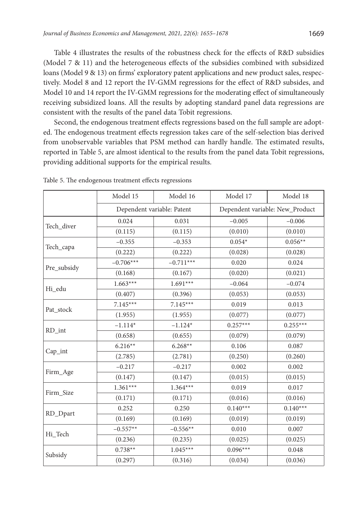Table 4 illustrates the results of the robustness check for the effects of R&D subsidies (Model 7 & 11) and the heterogeneous effects of the subsidies combined with subsidized loans (Model 9 & 13) on firms' exploratory patent applications and new product sales, respectively. Model 8 and 12 report the IV-GMM regressions for the effect of R&D subsides, and Model 10 and 14 report the IV-GMM regressions for the moderating effect of simultaneously receiving subsidized loans. All the results by adopting standard panel data regressions are consistent with the results of the panel data Tobit regressions.

Second, the endogenous treatment effects regressions based on the full sample are adopted. The endogenous treatment effects regression takes care of the self-selection bias derived from unobservable variables that PSM method can hardly handle. The estimated results, reported in Table 5, are almost identical to the results from the panel data Tobit regressions, providing additional supports for the empirical results.

|             | Model 15    | Model 16                   | Model 17   | Model 18                        |  |
|-------------|-------------|----------------------------|------------|---------------------------------|--|
|             |             | Dependent variable: Patent |            | Dependent variable: New_Product |  |
|             | 0.024       | 0.031                      | $-0.005$   | $-0.006$                        |  |
| Tech_diver  | (0.115)     | (0.115)                    | (0.010)    | (0.010)                         |  |
|             | $-0.355$    | $-0.353$                   | $0.054*$   | $0.056**$                       |  |
| Tech_capa   | (0.222)     | (0.222)                    | (0.028)    | (0.028)                         |  |
| Pre_subsidy | $-0.706***$ | $-0.711***$                | 0.020      | 0.024                           |  |
|             | (0.168)     | (0.167)                    | (0.020)    | (0.021)                         |  |
|             | $1.663***$  | $1.691***$                 | $-0.064$   | $-0.074$                        |  |
| Hi_edu      | (0.407)     | (0.396)                    | (0.053)    | (0.053)                         |  |
| Pat_stock   | $7.145***$  | $7.145***$                 | 0.019      | 0.013                           |  |
|             | (1.955)     | (1.955)                    | (0.077)    | (0.077)                         |  |
|             | $-1.114*$   | $-1.124*$                  | $0.257***$ | $0.255***$                      |  |
| RD_int      | (0.658)     | (0.655)                    | (0.079)    | (0.079)                         |  |
|             | $6.216**$   | $6.268**$                  | 0.106      | 0.087                           |  |
| $Cap_$ int  | (2.785)     | (2.781)                    | (0.250)    | (0.260)                         |  |
|             | $-0.217$    | $-0.217$                   | 0.002      | 0.002                           |  |
| Firm_Age    | (0.147)     | (0.147)                    | (0.015)    | (0.015)                         |  |
| Firm Size   | $1.361***$  | $1.364***$                 | 0.019      | 0.017                           |  |
|             | (0.171)     | (0.171)                    | (0.016)    | (0.016)                         |  |
|             | 0.252       | 0.250                      | $0.140***$ | $0.140***$                      |  |
| RD_Dpart    | (0.169)     | (0.169)                    | (0.019)    | (0.019)                         |  |
|             | $-0.557**$  | $-0.556**$                 | 0.010      | 0.007                           |  |
| Hi_Tech     | (0.236)     | (0.235)                    | (0.025)    | (0.025)                         |  |
|             | $0.738**$   | $1.045***$                 | $0.096***$ | 0.048                           |  |
| Subsidy     | (0.297)     | (0.316)                    | (0.034)    | (0.036)                         |  |

Table 5. The endogenous treatment effects regressions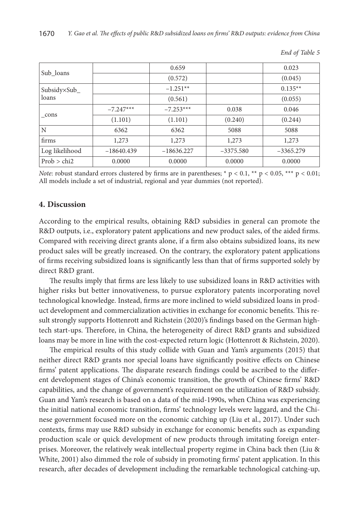| Sub loans      |              | 0.659        |             | 0.023       |
|----------------|--------------|--------------|-------------|-------------|
|                |              | (0.572)      |             | (0.045)     |
| Subsidy×Sub_   |              | $-1.251**$   |             | $0.135**$   |
| loans          |              | (0.561)      |             | (0.055)     |
|                | $-7.247***$  | $-7.253***$  | 0.038       | 0.046       |
| cons           | (1.101)      | (1.101)      | (0.240)     | (0.244)     |
| N              | 6362         | 6362         | 5088        | 5088        |
| firms          | 1,273        | 1,273        | 1,273       | 1,273       |
| Log likelihood | $-18640.439$ | $-18636.227$ | $-3375.580$ | $-3365.279$ |
| Prob > chi2    | 0.0000       | 0.0000       | 0.0000      | 0.0000      |

*End of Table 5*

*Note*: robust standard errors clustered by firms are in parentheses; \* p < 0.1, \*\* p < 0.05, \*\*\* p < 0.01; All models include a set of industrial, regional and year dummies (not reported).

#### **4. Discussion**

According to the empirical results, obtaining R&D subsidies in general can promote the R&D outputs, i.e., exploratory patent applications and new product sales, of the aided firms. Compared with receiving direct grants alone, if a firm also obtains subsidized loans, its new product sales will be greatly increased. On the contrary, the exploratory patent applications of firms receiving subsidized loans is significantly less than that of firms supported solely by direct R&D grant.

The results imply that firms are less likely to use subsidized loans in R&D activities with higher risks but better innovativeness, to pursue exploratory patents incorporating novel technological knowledge. Instead, firms are more inclined to wield subsidized loans in product development and commercialization activities in exchange for economic benefits. This result strongly supports Hottenrott and Richstein (2020)'s findings based on the German hightech start-ups. Therefore, in China, the heterogeneity of direct R&D grants and subsidized loans may be more in line with the cost-expected return logic (Hottenrott & Richstein, 2020).

The empirical results of this study collide with Guan and Yam's arguments (2015) that neither direct R&D grants nor special loans have significantly positive effects on Chinese firms' patent applications. The disparate research findings could be ascribed to the different development stages of China's economic transition, the growth of Chinese firms' R&D capabilities, and the change of government's requirement on the utilization of R&D subsidy. Guan and Yam's research is based on a data of the mid-1990s, when China was experiencing the initial national economic transition, firms' technology levels were laggard, and the Chinese government focused more on the economic catching up (Liu et al., 2017). Under such contexts, firms may use R&D subsidy in exchange for economic benefits such as expanding production scale or quick development of new products through imitating foreign enterprises. Moreover, the relatively weak intellectual property regime in China back then (Liu & White, 2001) also dimmed the role of subsidy in promoting firms' patent application. In this research, after decades of development including the remarkable technological catching-up,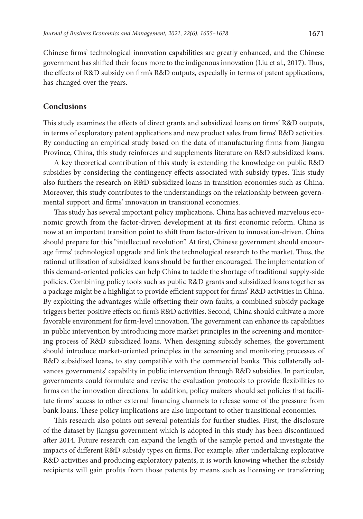Chinese firms' technological innovation capabilities are greatly enhanced, and the Chinese government has shifted their focus more to the indigenous innovation (Liu et al., 2017). Thus, the effects of R&D subsidy on firm's R&D outputs, especially in terms of patent applications, has changed over the years.

### **Conclusions**

This study examines the effects of direct grants and subsidized loans on firms' R&D outputs, in terms of exploratory patent applications and new product sales from firms' R&D activities. By conducting an empirical study based on the data of manufacturing firms from Jiangsu Province, China, this study reinforces and supplements literature on R&D subsidized loans.

A key theoretical contribution of this study is extending the knowledge on public R&D subsidies by considering the contingency effects associated with subsidy types. This study also furthers the research on R&D subsidized loans in transition economies such as China. Moreover, this study contributes to the understandings on the relationship between governmental support and firms' innovation in transitional economies.

This study has several important policy implications. China has achieved marvelous economic growth from the factor-driven development at its first economic reform. China is now at an important transition point to shift from factor-driven to innovation-driven. China should prepare for this "intellectual revolution". At first, Chinese government should encourage firms' technological upgrade and link the technological research to the market. Thus, the rational utilization of subsidized loans should be further encouraged. The implementation of this demand-oriented policies can help China to tackle the shortage of traditional supply-side policies. Combining policy tools such as public R&D grants and subsidized loans together as a package might be a highlight to provide efficient support for firms' R&D activities in China. By exploiting the advantages while offsetting their own faults, a combined subsidy package triggers better positive effects on firm's R&D activities. Second, China should cultivate a more favorable environment for firm-level innovation. The government can enhance its capabilities in public intervention by introducing more market principles in the screening and monitoring process of R&D subsidized loans. When designing subsidy schemes, the government should introduce market-oriented principles in the screening and monitoring processes of R&D subsidized loans, to stay compatible with the commercial banks. This collaterally advances governments' capability in public intervention through R&D subsidies. In particular, governments could formulate and revise the evaluation protocols to provide flexibilities to firms on the innovation directions. In addition, policy makers should set policies that facilitate firms' access to other external financing channels to release some of the pressure from bank loans. These policy implications are also important to other transitional economies.

This research also points out several potentials for further studies. First, the disclosure of the dataset by Jiangsu government which is adopted in this study has been discontinued after 2014. Future research can expand the length of the sample period and investigate the impacts of different R&D subsidy types on firms. For example, after undertaking explorative R&D activities and producing exploratory patents, it is worth knowing whether the subsidy recipients will gain profits from those patents by means such as licensing or transferring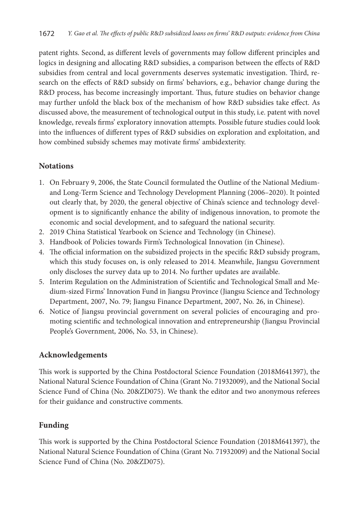patent rights. Second, as different levels of governments may follow different principles and logics in designing and allocating R&D subsidies, a comparison between the effects of R&D subsidies from central and local governments deserves systematic investigation. Third, research on the effects of R&D subsidy on firms' behaviors, e.g., behavior change during the R&D process, has become increasingly important. Thus, future studies on behavior change may further unfold the black box of the mechanism of how R&D subsidies take effect. As discussed above, the measurement of technological output in this study, i.e. patent with novel knowledge, reveals firms' exploratory innovation attempts. Possible future studies could look into the influences of different types of R&D subsidies on exploration and exploitation, and how combined subsidy schemes may motivate firms' ambidexterity.

## **Notations**

- 1. On February 9, 2006, the State Council formulated the Outline of the National Mediumand Long-Term Science and Technology Development Planning (2006–2020). It pointed out clearly that, by 2020, the general objective of China's science and technology development is to significantly enhance the ability of indigenous innovation, to promote the economic and social development, and to safeguard the national security.
- 2. 2019 China Statistical Yearbook on Science and Technology (in Chinese).
- 3. Handbook of Policies towards Firm's Technological Innovation (in Chinese).
- 4. The official information on the subsidized projects in the specific R&D subsidy program, which this study focuses on, is only released to 2014. Meanwhile, Jiangsu Government only discloses the survey data up to 2014. No further updates are available.
- 5. Interim Regulation on the Administration of Scientific and Technological Small and Medium-sized Firms' Innovation Fund in Jiangsu Province (Jiangsu Science and Technology Department, 2007, No. 79; Jiangsu Finance Department, 2007, No. 26, in Chinese).
- 6. Notice of Jiangsu provincial government on several policies of encouraging and promoting scientific and technological innovation and entrepreneurship (Jiangsu Provincial People's Government, 2006, No. 53, in Chinese).

# **Acknowledgements**

This work is supported by the China Postdoctoral Science Foundation (2018M641397), the National Natural Science Foundation of China (Grant No. 71932009), and the National Social Science Fund of China (No. 20&ZD075). We thank the editor and two anonymous referees for their guidance and constructive comments.

# **Funding**

This work is supported by the China Postdoctoral Science Foundation (2018M641397), the National Natural Science Foundation of China (Grant No. 71932009) and the National Social Science Fund of China (No. 20&ZD075).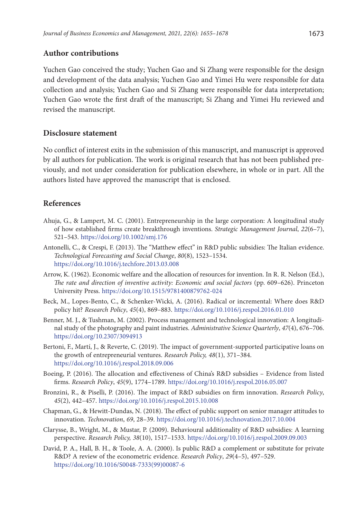#### **Author contributions**

Yuchen Gao conceived the study; Yuchen Gao and Si Zhang were responsible for the design and development of the data analysis; Yuchen Gao and Yimei Hu were responsible for data collection and analysis; Yuchen Gao and Si Zhang were responsible for data interpretation; Yuchen Gao wrote the first draft of the manuscript; Si Zhang and Yimei Hu reviewed and revised the manuscript.

## **Disclosure statement**

No conflict of interest exits in the submission of this manuscript, and manuscript is approved by all authors for publication. The work is original research that has not been published previously, and not under consideration for publication elsewhere, in whole or in part. All the authors listed have approved the manuscript that is enclosed.

### **References**

- Ahuja, G., & Lampert, M. C. (2001). Entrepreneurship in the large corporation: A longitudinal study of how established firms create breakthrough inventions. *Strategic Management Journal*, *22*(6–7), 521–543. <https://doi.org/10.1002/smj.176>
- Antonelli, C., & Crespi, F. (2013). The "Matthew effect" in R&D public subsidies: The Italian evidence. *Technological Forecasting and Social Change*, *80*(8), 1523–1534. <https://doi.org/10.1016/j.techfore.2013.03.008>
- Arrow, K. (1962). Economic welfare and the allocation of resources for invention. In R. R. Nelson (Ed.), *The rate and direction of inventive activity: Economic and social factors* (pp. 609–626). Princeton University Press. <https://doi.org/10.1515/9781400879762-024>
- Beck, M., Lopes-Bento, C., & Schenker-Wicki, A. (2016). Radical or incremental: Where does R&D policy hit? *Research Policy*, *45*(4), 869–883. <https://doi.org/10.1016/j.respol.2016.01.010>
- Benner, M. J., & Tushman, M. (2002). Process management and technological innovation: A longitudinal study of the photography and paint industries. *Administrative Science Quarterly*, *47*(4), 676–706. <https://doi.org/10.2307/3094913>
- Bertoni, F., Martí, J., & Reverte, C. (2019). The impact of government-supported participative loans on the growth of entrepreneurial ventures. *Research Policy, 48*(1), 371–384. <https://doi.org/10.1016/j.respol.2018.09.006>
- Boeing, P. (2016). The allocation and effectiveness of China's R&D subsidies Evidence from listed firms. *Research Policy*, *45*(9), 1774–1789. <https://doi.org/10.1016/j.respol.2016.05.007>
- Bronzini, R., & Piselli, P. (2016). The impact of R&D subsidies on firm innovation. *Research Policy*, *45*(2), 442–457. <https://doi.org/10.1016/j.respol.2015.10.008>
- Chapman, G., & Hewitt-Dundas, N. (2018). The effect of public support on senior manager attitudes to innovation. *Technovation*, *69*, 28–39. <https://doi.org/10.1016/j.technovation.2017.10.004>
- Clarysse, B., Wright, M., & Mustar, P. (2009). Behavioural additionality of R&D subsidies: A learning perspective. *Research Policy, 38*(10), 1517–1533. <https://doi.org/10.1016/j.respol.2009.09.003>
- David, P. A., Hall, B. H., & Toole, A. A. (2000). Is public R&D a complement or substitute for private R&D? A review of the econometric evidence. *Research Policy*, *29*(4–5), 497–529. [https://doi.org/10.1016/S0048-7333\(99\)00087-6](https://doi.org/10.1016/S0048-7333(99)00087-6)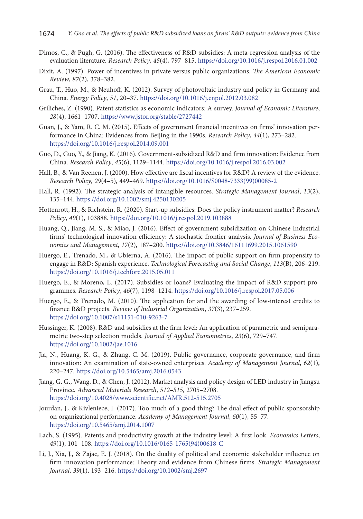- Dimos, C., & Pugh, G. (2016). The effectiveness of R&D subsidies: A meta-regression analysis of the evaluation literature. *Research Policy*, *45*(4), 797–815. <https://doi.org/10.1016/j.respol.2016.01.002>
- Dixit, A. (1997). Power of incentives in private versus public organizations. *The American Economic Review*, *87*(2), 378–382.
- Grau, T., Huo, M., & Neuhoff, K. (2012). Survey of photovoltaic industry and policy in Germany and China. *Energy Policy*, *51*, 20–37. <https://doi.org/10.1016/j.enpol.2012.03.082>
- Griliches, Z. (1990). Patent statistics as economic indicators: A survey. *Journal of Economic Literature*, *28*(4), 1661–1707. https://www.jstor.org/stable/2727442
- Guan, J., & Yam, R. C. M. (2015). Effects of government financial incentives on firms' innovation performance in China: Evidences from Beijing in the 1990s. *Research Policy*, *44*(1), 273–282. <https://doi.org/10.1016/j.respol.2014.09.001>
- Guo, D., Guo, Y., & Jiang, K. (2016). Government-subsidized R&D and firm innovation: Evidence from China. *Research Policy*, *45*(6), 1129–1144. <https://doi.org/10.1016/j.respol.2016.03.002>
- Hall, B., & Van Reenen, J. (2000). How effective are fiscal incentives for R&D? A review of the evidence. *Research Policy*, *29*(4–5), 449–469. [https://doi.org/10.1016/S0048-7333\(99\)00085-2](https://doi.org/10.1016/S0048-7333(99)00085-2)
- Hall, R. (1992). The strategic analysis of intangible resources. *Strategic Management Journal*, *13*(2), 135–144. <https://doi.org/10.1002/smj.4250130205>
- Hottenrott, H., & Richstein, R. (2020). Start-up subsidies: Does the policy instrument matter? *Research Policy*, *49*(1), 103888. <https://doi.org/10.1016/j.respol.2019.103888>
- Huang, Q., Jiang, M. S., & Miao, J. (2016). Effect of government subsidization on Chinese Industrial firms' technological innovation efficiency: A stochastic frontier analysis. *Journal of Business Economics and Management*, *17*(2), 187–200. <https://doi.org/10.3846/16111699.2015.1061590>
- Huergo, E., Trenado, M., & Ubierna, A. (2016). The impact of public support on firm propensity to engage in R&D: Spanish experience. *Technological Forecasting and Social Change*, *113*(B), 206–219. <https://doi.org/10.1016/j.techfore.2015.05.011>
- Huergo, E., & Moreno, L. (2017). Subsidies or loans? Evaluating the impact of R&D support programmes. *Research Policy*, *46*(7), 1198–1214. <https://doi.org/10.1016/j.respol.2017.05.006>
- Huergo, E., & Trenado, M. (2010). The application for and the awarding of low-interest credits to finance R&D projects. *Review of Industrial Organization*, *37*(3), 237–259. <https://doi.org/10.1007/s11151-010-9263-7>
- Hussinger, K. (2008). R&D and subsidies at the firm level: An application of parametric and semiparametric two-step selection models. *Journal of Applied Econometrics*, *23*(6), 729–747. <https://doi.org/10.1002/jae.1016>
- Jia, N., Huang, K. G., & Zhang, C. M. (2019). Public governance, corporate governance, and firm innovation: An examination of state-owned enterprises. *Academy of Management Journal*, *62*(1), 220–247. <https://doi.org/10.5465/amj.2016.0543>
- Jiang, G. G., Wang, D., & Chen, J. (2012). Market analysis and policy design of LED industry in Jiangsu Province. *Advanced Materials Research*, *512–515*, 2705–2708. <https://doi.org/10.4028/www.scientific.net/AMR.512-515.2705>
- Jourdan, J., & Kivleniece, I. (2017). Too much of a good thing? The dual effect of public sponsorship on organizational performance. *Academy of Management Journal*, *60*(1), 55–77. <https://doi.org/10.5465/amj.2014.1007>
- Lach, S. (1995). Patents and productivity growth at the industry level: A first look. *Economics Letters*, *49*(1), 101–108. [https://doi.org/10.1016/0165-1765\(94\)00618-C](https://doi.org/10.1016/0165-1765(94)00618-C)
- Li, J., Xia, J., & Zajac, E. J. (2018). On the duality of political and economic stakeholder influence on firm innovation performance: Theory and evidence from Chinese firms. *Strategic Management Journal*, *39*(1), 193–216. <https://doi.org/10.1002/smj.2697>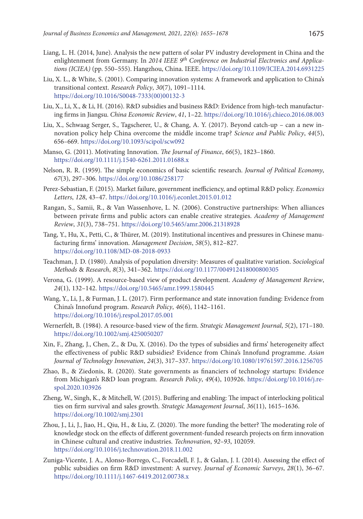- Liang, L. H. (2014, June). Analysis the new pattern of solar PV industry development in China and the enlightenment from Germany. In *2014 IEEE 9th Conference on Industrial Electronics and Applications (ICIEA)* (pp. 550–555). Hangzhou, China. IEEE.<https://doi.org/10.1109/ICIEA.2014.6931225>
- Liu, X. L., & White, S. (2001). Comparing innovation systems: A framework and application to China's transitional context. *Research Policy*, *30*(7), 1091–1114. [https://doi.org/10.1016/S0048-7333\(00\)00132-3](https://doi.org/10.1016/S0048-7333(00)00132-3)
- Liu, X., Li, X., & Li, H. (2016). R&D subsidies and business R&D: Evidence from high-tech manufacturing firms in Jiangsu. *China Economic Review*, *41*, 1–22. <https://doi.org/10.1016/j.chieco.2016.08.003>
- Liu, X., Schwaag Serger, S., Tagscherer, U., & Chang, A. Y. (2017). Beyond catch-up can a new innovation policy help China overcome the middle income trap? *Science and Public Policy*, *44*(5), 656–669. <https://doi.org/10.1093/scipol/scw092>
- Manso, G. (2011). Motivating Innovation. *The Journal of Finance*, *66*(5), 1823–1860. <https://doi.org/10.1111/j.1540-6261.2011.01688.x>
- Nelson, R. R. (1959). The simple economics of basic scientific research. *Journal of Political Economy*, *67*(3), 297–306. <https://doi.org/10.1086/258177>
- Perez-Sebastian, F. (2015). Market failure, government inefficiency, and optimal R&D policy. *Economics Letters*, *128*, 43–47. <https://doi.org/10.1016/j.econlet.2015.01.012>
- Rangan, S., Samii, R., & Van Wassenhove, L. N. (2006). Constructive partnerships: When alliances between private firms and public actors can enable creative strategies. *Academy of Management Review*, *31*(3), 738–751. <https://doi.org/10.5465/amr.2006.21318928>
- Tang, Y., Hu, X., Petti, C., & Thürer, M. (2019). Institutional incentives and pressures in Chinese manufacturing firms' innovation. *Management Decision*, *58*(5), 812–827. <https://doi.org/10.1108/MD-08-2018-0933>
- Teachman, J. D. (1980). Analysis of population diversity: Measures of qualitative variation. *Sociological Methods* & *Research*, *8*(3), 341–362. <https://doi.org/10.1177/004912418000800305>
- Verona, G. (1999). A resource-based view of product development. *Academy of Management Review*, *24*(1), 132–142. <https://doi.org/10.5465/amr.1999.1580445>
- Wang, Y., Li, J., & Furman, J. L. (2017). Firm performance and state innovation funding: Evidence from China's Innofund program. *Research Policy*, *46*(6), 1142–1161. <https://doi.org/10.1016/j.respol.2017.05.001>
- Wernerfelt, B. (1984). A resource-based view of the firm. *Strategic Management Journal*, *5*(2), 171–180. <https://doi.org/10.1002/smj.4250050207>
- Xin, F., Zhang, J., Chen, Z., & Du, X. (2016). Do the types of subsidies and firms' heterogeneity affect the effectiveness of public R&D subsidies? Evidence from China's Innofund programme. *Asian Journal of Technology Innovation*, *24*(3), 317–337. <https://doi.org/10.1080/19761597.2016.1256705>
- Zhao, B., & Ziedonis, R. (2020). State governments as financiers of technology startups: Evidence from Michigan's R&D loan program. *Research Policy*, *49*(4), 103926. [https://doi.org/10.1016/j.re](https://doi.org/10.1016/j.respol.2020.103926)[spol.2020.103926](https://doi.org/10.1016/j.respol.2020.103926)
- Zheng, W., Singh, K., & Mitchell, W. (2015). Buffering and enabling: The impact of interlocking political ties on firm survival and sales growth. *Strategic Management Journal*, *36*(11), 1615–1636. <https://doi.org/10.1002/smj.2301>
- Zhou, J., Li, J., Jiao, H., Qiu, H., & Liu, Z. (2020). The more funding the better? The moderating role of knowledge stock on the effects of different government-funded research projects on firm innovation in Chinese cultural and creative industries. *Technovation*, *92–93*, 102059. <https://doi.org/10.1016/j.technovation.2018.11.002>
- Zuniga-Vicente, J. A., Alonso-Borrego, C., Forcadell, F. J., & Galan, J. I. (2014). Assessing the effect of public subsidies on firm R&D investment: A survey. *Journal of Economic Surveys*, *28*(1), 36–67. <https://doi.org/10.1111/j.1467-6419.2012.00738.x>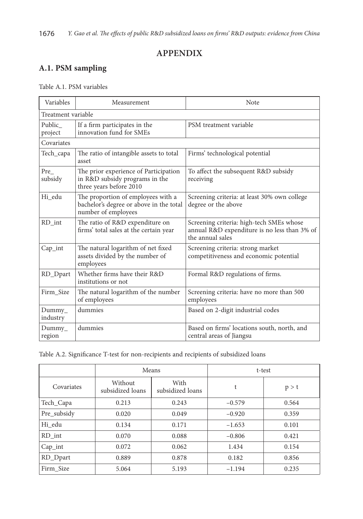# **APPENDIX**

# **A.1. PSM sampling**

## Table A.1. PSM variables

| Variables            | Measurement                                                                                          | Note                                                                                                         |  |  |  |  |  |  |  |
|----------------------|------------------------------------------------------------------------------------------------------|--------------------------------------------------------------------------------------------------------------|--|--|--|--|--|--|--|
|                      | Treatment variable                                                                                   |                                                                                                              |  |  |  |  |  |  |  |
| Public<br>project    | If a firm participates in the<br>innovation fund for SMEs                                            | PSM treatment variable                                                                                       |  |  |  |  |  |  |  |
| Covariates           |                                                                                                      |                                                                                                              |  |  |  |  |  |  |  |
| Tech_capa            | The ratio of intangible assets to total<br>asset                                                     | Firms' technological potential                                                                               |  |  |  |  |  |  |  |
| Pre<br>subsidy       | The prior experience of Participation<br>in R&D subsidy programs in the<br>three years before 2010   | To affect the subsequent R&D subsidy<br>receiving                                                            |  |  |  |  |  |  |  |
| Hi edu               | The proportion of employees with a<br>bachelor's degree or above in the total<br>number of employees | Screening criteria: at least 30% own college<br>degree or the above                                          |  |  |  |  |  |  |  |
| RD int               | The ratio of R&D expenditure on<br>firms' total sales at the certain year                            | Screening criteria: high-tech SMEs whose<br>annual R&D expenditure is no less than 3% of<br>the annual sales |  |  |  |  |  |  |  |
| $Cap_$ int           | The natural logarithm of net fixed<br>assets divided by the number of<br>employees                   | Screening criteria: strong market<br>competitiveness and economic potential                                  |  |  |  |  |  |  |  |
| RD_Dpart             | Whether firms have their R&D<br>institutions or not                                                  | Formal R&D regulations of firms.                                                                             |  |  |  |  |  |  |  |
| Firm Size            | The natural logarithm of the number<br>of employees                                                  | Screening criteria: have no more than 500<br>employees                                                       |  |  |  |  |  |  |  |
| $Dummy_$<br>industry | dummies                                                                                              | Based on 2-digit industrial codes                                                                            |  |  |  |  |  |  |  |
| Dummy<br>region      | dummies                                                                                              | Based on firms' locations south, north, and<br>central areas of Jiangsu                                      |  |  |  |  |  |  |  |

| Table A.2. Significance T-test for non-recipients and recipients of subsidized loans |  |  |
|--------------------------------------------------------------------------------------|--|--|
|                                                                                      |  |  |

|             |                             | Means                    | t-test   |       |  |
|-------------|-----------------------------|--------------------------|----------|-------|--|
| Covariates  | Without<br>subsidized loans | With<br>subsidized loans | t        | p > t |  |
| Tech_Capa   | 0.213                       | 0.243                    | $-0.579$ | 0.564 |  |
| Pre_subsidy | 0.020                       | 0.049                    | $-0.920$ | 0.359 |  |
| Hi edu      | 0.134                       | 0.171                    | $-1.653$ | 0.101 |  |
| RD int      | 0.070                       | 0.088                    | $-0.806$ | 0.421 |  |
| $Cap_$ int  | 0.072                       | 0.062                    | 1.434    | 0.154 |  |
| RD_Dpart    | 0.889                       | 0.878                    | 0.182    | 0.856 |  |
| Firm Size   | 5.064                       | 5.193                    | $-1.194$ | 0.235 |  |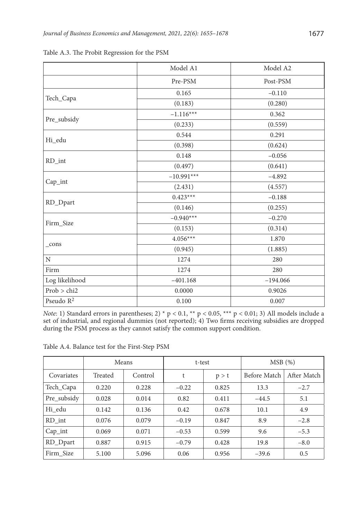|                       | Model A1                                                                          | Model A2   |
|-----------------------|-----------------------------------------------------------------------------------|------------|
|                       | Pre-PSM                                                                           | Post-PSM   |
|                       | 0.165                                                                             | $-0.110$   |
| Tech_Capa             | (0.183)                                                                           | (0.280)    |
|                       | $-1.116***$                                                                       | 0.362      |
| Pre_subsidy           | (0.233)                                                                           | (0.559)    |
|                       | 0.544                                                                             | 0.291      |
| Hi_edu                | (0.398)                                                                           | (0.624)    |
|                       | 0.148                                                                             | $-0.056$   |
| RD_int                | (0.497)                                                                           | (0.641)    |
|                       | $-10.991***$                                                                      | $-4.892$   |
| Cap_int               | (2.431)                                                                           | (4.557)    |
|                       | $0.423***$                                                                        | $-0.188$   |
| RD_Dpart              | (0.146)                                                                           | (0.255)    |
| Firm_Size             | $-0.940***$                                                                       | $-0.270$   |
|                       | (0.153)<br>$4.056***$<br>(0.945)<br>1274<br>1274<br>$-401.168$<br>0.0000<br>0.100 | (0.314)    |
|                       |                                                                                   | 1.870      |
| cons                  |                                                                                   | (1.885)    |
| N                     |                                                                                   | 280        |
| Firm                  |                                                                                   | 280        |
| Log likelihood        |                                                                                   | $-194.066$ |
| Prob > chi2           |                                                                                   | 0.9026     |
| Pseudo R <sup>2</sup> |                                                                                   | 0.007      |

Table A.3. The Probit Regression for the PSM

*Note*: 1) Standard errors in parentheses; 2) \* p < 0.1, \*\* p < 0.05, \*\*\* p < 0.01; 3) All models include a set of industrial, and regional dummies (not reported); 4) Two firms receiving subsidies are dropped during the PSM process as they cannot satisfy the common support condition.

|             | Means   |         | t-test  |       | MSB(%)       |             |  |
|-------------|---------|---------|---------|-------|--------------|-------------|--|
| Covariates  | Treated | Control | t       | p > t | Before Match | After Match |  |
| Tech_Capa   | 0.220   | 0.228   | $-0.22$ | 0.825 | 13.3         | $-2.7$      |  |
| Pre_subsidy | 0.028   | 0.014   | 0.82    | 0.411 | $-44.5$      | 5.1         |  |
| Hi edu      | 0.142   | 0.136   | 0.42    | 0.678 | 10.1         | 4.9         |  |
| RD int      | 0.076   | 0.079   | $-0.19$ | 0.847 | 8.9          | $-2.8$      |  |
| $Cap_$ int  | 0.069   | 0.071   | $-0.53$ | 0.599 | 9.6          | $-5.3$      |  |
| RD_Dpart    | 0.887   | 0.915   | $-0.79$ | 0.428 | 19.8         | $-8.0$      |  |
| Firm Size   | 5.100   | 5.096   | 0.06    | 0.956 | $-39.6$      | 0.5         |  |

Table A.4. Balance test for the First-Step PSM